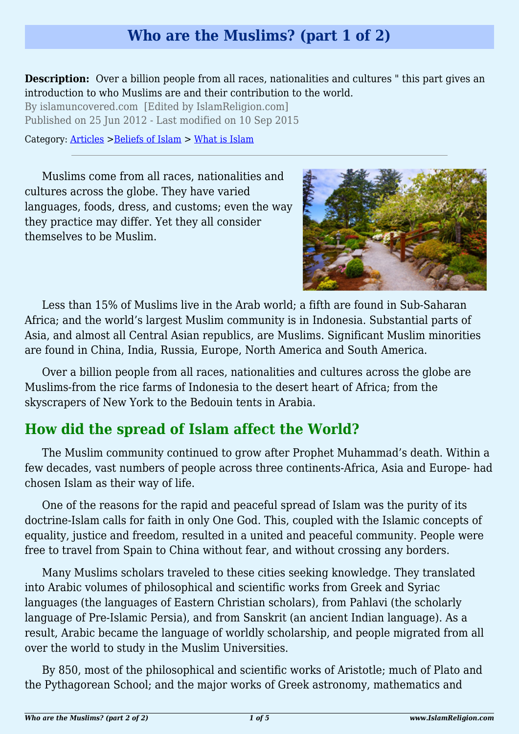# **Who are the Muslims? (part 1 of 2)**

**Description:** Over a billion people from all races, nationalities and cultures " this part gives an introduction to who Muslims are and their contribution to the world.

By islamuncovered.com [Edited by IslamReligion.com] Published on 25 Jun 2012 - Last modified on 10 Sep 2015

Category: [Articles](http://www.islamreligion.com/articles/) >[Beliefs of Islam](http://www.islamreligion.com/category/48/) > [What is Islam](http://www.islamreligion.com/category/49/)

Muslims come from all races, nationalities and cultures across the globe. They have varied languages, foods, dress, and customs; even the way they practice may differ. Yet they all consider themselves to be Muslim.



Less than 15% of Muslims live in the Arab world; a fifth are found in Sub-Saharan Africa; and the world's largest Muslim community is in Indonesia. Substantial parts of Asia, and almost all Central Asian republics, are Muslims. Significant Muslim minorities are found in China, India, Russia, Europe, North America and South America.

Over a billion people from all races, nationalities and cultures across the globe are Muslims-from the rice farms of Indonesia to the desert heart of Africa; from the skyscrapers of New York to the Bedouin tents in Arabia.

# **How did the spread of Islam affect the World?**

The Muslim community continued to grow after Prophet Muhammad's death. Within a few decades, vast numbers of people across three continents-Africa, Asia and Europe- had chosen Islam as their way of life.

One of the reasons for the rapid and peaceful spread of Islam was the purity of its doctrine-Islam calls for faith in only One God. This, coupled with the Islamic concepts of equality, justice and freedom, resulted in a united and peaceful community. People were free to travel from Spain to China without fear, and without crossing any borders.

Many Muslims scholars traveled to these cities seeking knowledge. They translated into Arabic volumes of philosophical and scientific works from Greek and Syriac languages (the languages of Eastern Christian scholars), from Pahlavi (the scholarly language of Pre-Islamic Persia), and from Sanskrit (an ancient Indian language). As a result, Arabic became the language of worldly scholarship, and people migrated from all over the world to study in the Muslim Universities.

By 850, most of the philosophical and scientific works of Aristotle; much of Plato and the Pythagorean School; and the major works of Greek astronomy, mathematics and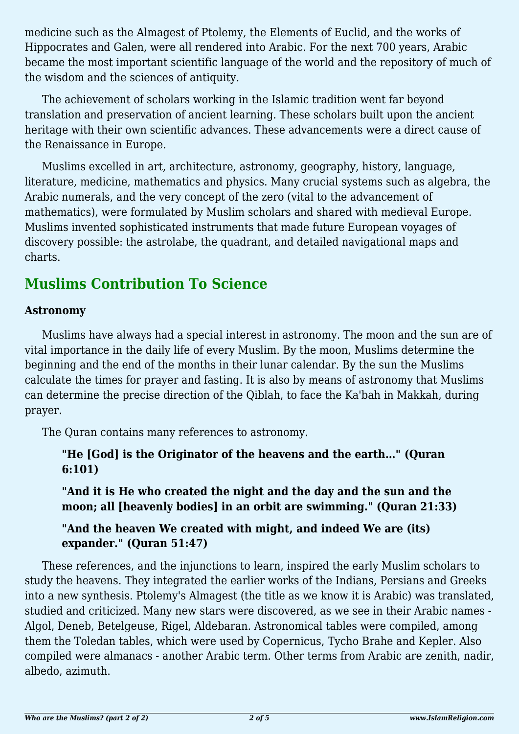medicine such as the Almagest of Ptolemy, the Elements of Euclid, and the works of Hippocrates and Galen, were all rendered into Arabic. For the next 700 years, Arabic became the most important scientific language of the world and the repository of much of the wisdom and the sciences of antiquity.

The achievement of scholars working in the Islamic tradition went far beyond translation and preservation of ancient learning. These scholars built upon the ancient heritage with their own scientific advances. These advancements were a direct cause of the Renaissance in Europe.

Muslims excelled in art, architecture, astronomy, geography, history, language, literature, medicine, mathematics and physics. Many crucial systems such as algebra, the Arabic numerals, and the very concept of the zero (vital to the advancement of mathematics), were formulated by Muslim scholars and shared with medieval Europe. Muslims invented sophisticated instruments that made future European voyages of discovery possible: the astrolabe, the quadrant, and detailed navigational maps and charts.

# **Muslims Contribution To Science**

### **Astronomy**

Muslims have always had a special interest in astronomy. The moon and the sun are of vital importance in the daily life of every Muslim. By the moon, Muslims determine the beginning and the end of the months in their lunar calendar. By the sun the Muslims calculate the times for prayer and fasting. It is also by means of astronomy that Muslims can determine the precise direction of the Qiblah, to face the Ka'bah in Makkah, during prayer.

The Quran contains many references to astronomy.

**"He [God] is the Originator of the heavens and the earth…" (Quran 6:101)**

**"And it is He who created the night and the day and the sun and the moon; all [heavenly bodies] in an orbit are swimming." (Quran 21:33)**

# **"And the heaven We created with might, and indeed We are (its) expander." (Quran 51:47)**

These references, and the injunctions to learn, inspired the early Muslim scholars to study the heavens. They integrated the earlier works of the Indians, Persians and Greeks into a new synthesis. Ptolemy's Almagest (the title as we know it is Arabic) was translated, studied and criticized. Many new stars were discovered, as we see in their Arabic names - Algol, Deneb, Betelgeuse, Rigel, Aldebaran. Astronomical tables were compiled, among them the Toledan tables, which were used by Copernicus, Tycho Brahe and Kepler. Also compiled were almanacs - another Arabic term. Other terms from Arabic are zenith, nadir, albedo, azimuth.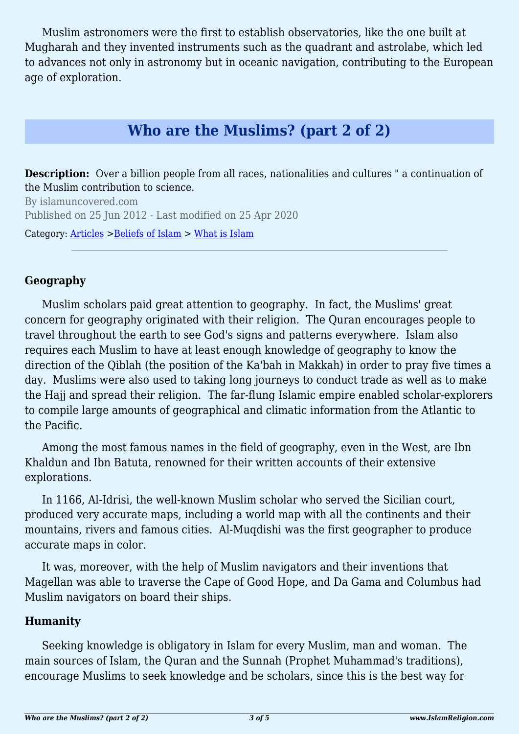Muslim astronomers were the first to establish observatories, like the one built at Mugharah and they invented instruments such as the quadrant and astrolabe, which led to advances not only in astronomy but in oceanic navigation, contributing to the European age of exploration.

# **Who are the Muslims? (part 2 of 2)**

**Description:** Over a billion people from all races, nationalities and cultures " a continuation of the Muslim contribution to science.

By islamuncovered.com Published on 25 Jun 2012 - Last modified on 25 Apr 2020

Category: [Articles](http://www.islamreligion.com/articles/) >[Beliefs of Islam](http://www.islamreligion.com/category/48/) > [What is Islam](http://www.islamreligion.com/category/49/)

### **Geography**

Muslim scholars paid great attention to geography. In fact, the Muslims' great concern for geography originated with their religion. The Quran encourages people to travel throughout the earth to see God's signs and patterns everywhere. Islam also requires each Muslim to have at least enough knowledge of geography to know the direction of the Qiblah (the position of the Ka'bah in Makkah) in order to pray five times a day. Muslims were also used to taking long journeys to conduct trade as well as to make the Hajj and spread their religion. The far-flung Islamic empire enabled scholar-explorers to compile large amounts of geographical and climatic information from the Atlantic to the Pacific.

Among the most famous names in the field of geography, even in the West, are Ibn Khaldun and Ibn Batuta, renowned for their written accounts of their extensive explorations.

In 1166, Al-Idrisi, the well-known Muslim scholar who served the Sicilian court, produced very accurate maps, including a world map with all the continents and their mountains, rivers and famous cities. Al-Muqdishi was the first geographer to produce accurate maps in color.

It was, moreover, with the help of Muslim navigators and their inventions that Magellan was able to traverse the Cape of Good Hope, and Da Gama and Columbus had Muslim navigators on board their ships.

#### **Humanity**

Seeking knowledge is obligatory in Islam for every Muslim, man and woman. The main sources of Islam, the Quran and the Sunnah (Prophet Muhammad's traditions), encourage Muslims to seek knowledge and be scholars, since this is the best way for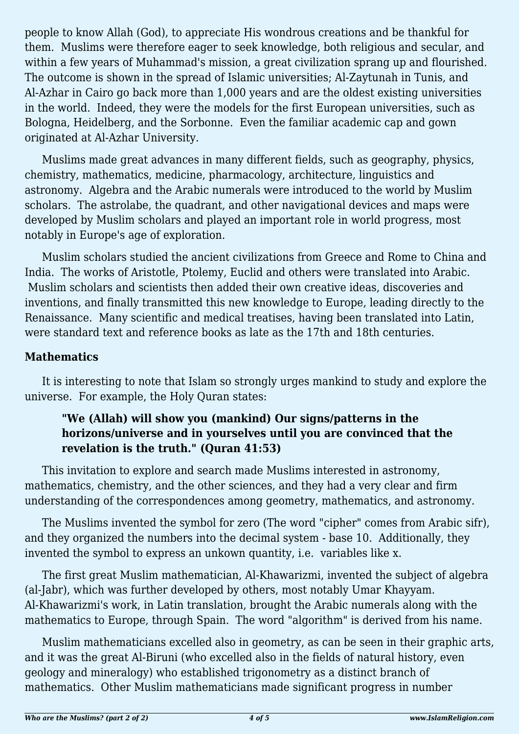people to know Allah (God), to appreciate His wondrous creations and be thankful for them. Muslims were therefore eager to seek knowledge, both religious and secular, and within a few years of Muhammad's mission, a great civilization sprang up and flourished. The outcome is shown in the spread of Islamic universities; Al-Zaytunah in Tunis, and Al-Azhar in Cairo go back more than 1,000 years and are the oldest existing universities in the world. Indeed, they were the models for the first European universities, such as Bologna, Heidelberg, and the Sorbonne. Even the familiar academic cap and gown originated at Al-Azhar University.

Muslims made great advances in many different fields, such as geography, physics, chemistry, mathematics, medicine, pharmacology, architecture, linguistics and astronomy. Algebra and the Arabic numerals were introduced to the world by Muslim scholars. The astrolabe, the quadrant, and other navigational devices and maps were developed by Muslim scholars and played an important role in world progress, most notably in Europe's age of exploration.

Muslim scholars studied the ancient civilizations from Greece and Rome to China and India. The works of Aristotle, Ptolemy, Euclid and others were translated into Arabic. Muslim scholars and scientists then added their own creative ideas, discoveries and inventions, and finally transmitted this new knowledge to Europe, leading directly to the Renaissance. Many scientific and medical treatises, having been translated into Latin, were standard text and reference books as late as the 17th and 18th centuries.

### **Mathematics**

It is interesting to note that Islam so strongly urges mankind to study and explore the universe. For example, the Holy Quran states:

## **"We (Allah) will show you (mankind) Our signs/patterns in the horizons/universe and in yourselves until you are convinced that the revelation is the truth." (Quran 41:53)**

This invitation to explore and search made Muslims interested in astronomy, mathematics, chemistry, and the other sciences, and they had a very clear and firm understanding of the correspondences among geometry, mathematics, and astronomy.

The Muslims invented the symbol for zero (The word "cipher" comes from Arabic sifr), and they organized the numbers into the decimal system - base 10. Additionally, they invented the symbol to express an unkown quantity, i.e. variables like x.

The first great Muslim mathematician, Al-Khawarizmi, invented the subject of algebra (al-Jabr), which was further developed by others, most notably Umar Khayyam. Al-Khawarizmi's work, in Latin translation, brought the Arabic numerals along with the mathematics to Europe, through Spain. The word "algorithm" is derived from his name.

Muslim mathematicians excelled also in geometry, as can be seen in their graphic arts, and it was the great Al-Biruni (who excelled also in the fields of natural history, even geology and mineralogy) who established trigonometry as a distinct branch of mathematics. Other Muslim mathematicians made significant progress in number